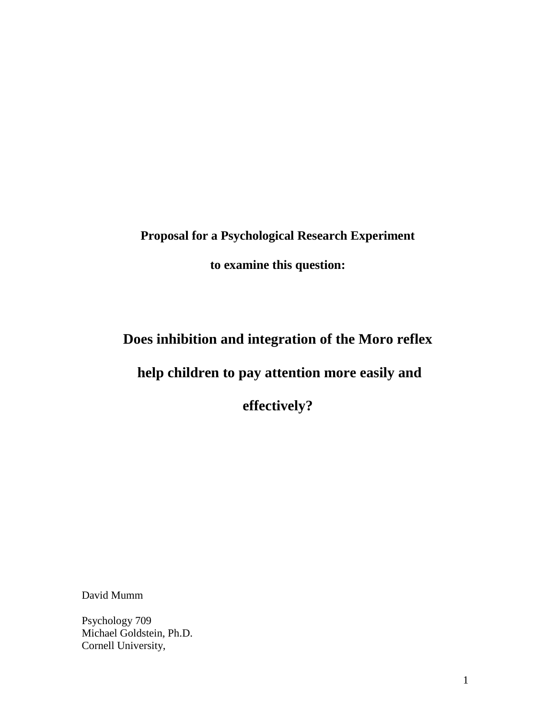**Proposal for a Psychological Research Experiment**

**to examine this question:**

**Does inhibition and integration of the Moro reflex**

# **help children to pay attention more easily and**

**effectively?**

David Mumm

Psychology 709 Michael Goldstein, Ph.D. Cornell University,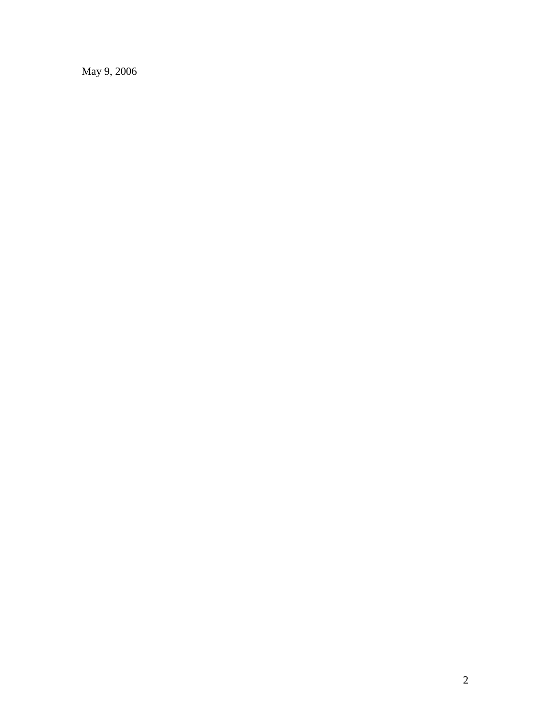May 9, 2006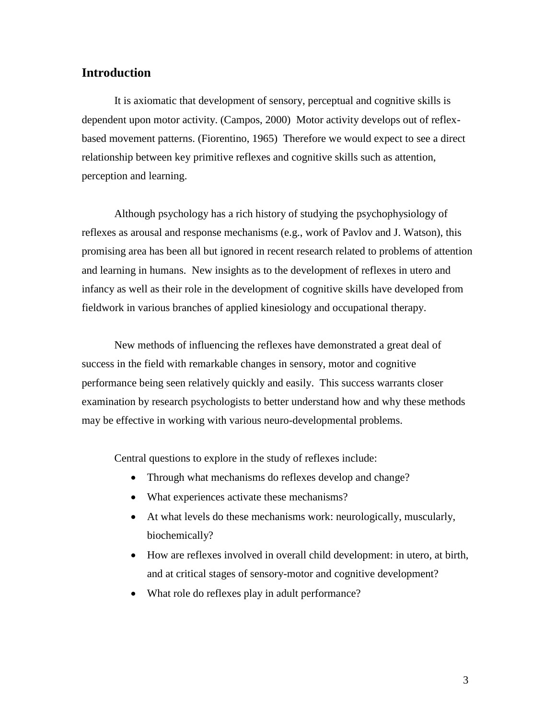### **Introduction**

It is axiomatic that development of sensory, perceptual and cognitive skills is dependent upon motor activity. (Campos, 2000) Motor activity develops out of reflexbased movement patterns. (Fiorentino, 1965) Therefore we would expect to see a direct relationship between key primitive reflexes and cognitive skills such as attention, perception and learning.

Although psychology has a rich history of studying the psychophysiology of reflexes as arousal and response mechanisms (e.g., work of Pavlov and J. Watson), this promising area has been all but ignored in recent research related to problems of attention and learning in humans. New insights as to the development of reflexes in utero and infancy as well as their role in the development of cognitive skills have developed from fieldwork in various branches of applied kinesiology and occupational therapy.

New methods of influencing the reflexes have demonstrated a great deal of success in the field with remarkable changes in sensory, motor and cognitive performance being seen relatively quickly and easily. This success warrants closer examination by research psychologists to better understand how and why these methods may be effective in working with various neuro-developmental problems.

Central questions to explore in the study of reflexes include:

- Through what mechanisms do reflexes develop and change?
- What experiences activate these mechanisms?
- At what levels do these mechanisms work: neurologically, muscularly, biochemically?
- How are reflexes involved in overall child development: in utero, at birth, and at critical stages of sensory-motor and cognitive development?
- What role do reflexes play in adult performance?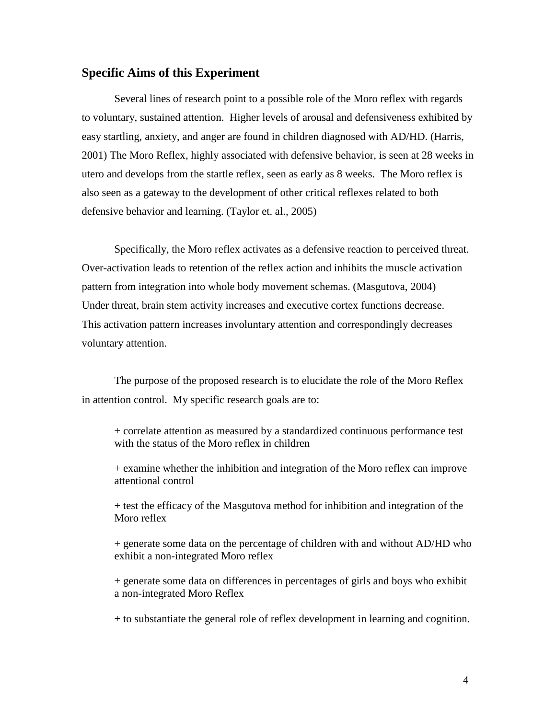#### **Specific Aims of this Experiment**

Several lines of research point to a possible role of the Moro reflex with regards to voluntary, sustained attention. Higher levels of arousal and defensiveness exhibited by easy startling, anxiety, and anger are found in children diagnosed with AD/HD. (Harris, 2001) The Moro Reflex, highly associated with defensive behavior, is seen at 28 weeks in utero and develops from the startle reflex, seen as early as 8 weeks. The Moro reflex is also seen as a gateway to the development of other critical reflexes related to both defensive behavior and learning. (Taylor et. al., 2005)

Specifically, the Moro reflex activates as a defensive reaction to perceived threat. Over-activation leads to retention of the reflex action and inhibits the muscle activation pattern from integration into whole body movement schemas. (Masgutova, 2004) Under threat, brain stem activity increases and executive cortex functions decrease. This activation pattern increases involuntary attention and correspondingly decreases voluntary attention.

The purpose of the proposed research is to elucidate the role of the Moro Reflex in attention control. My specific research goals are to:

+ correlate attention as measured by a standardized continuous performance test with the status of the Moro reflex in children

+ examine whether the inhibition and integration of the Moro reflex can improve attentional control

+ test the efficacy of the Masgutova method for inhibition and integration of the Moro reflex

+ generate some data on the percentage of children with and without AD/HD who exhibit a non-integrated Moro reflex

+ generate some data on differences in percentages of girls and boys who exhibit a non-integrated Moro Reflex

+ to substantiate the general role of reflex development in learning and cognition.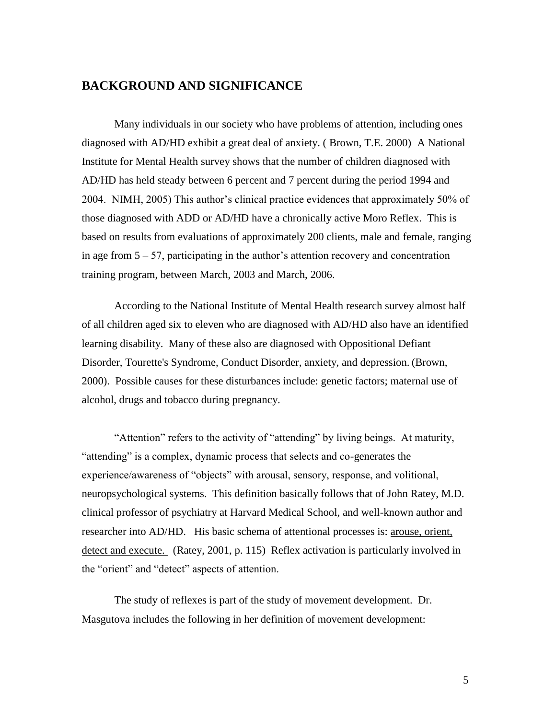### **BACKGROUND AND SIGNIFICANCE**

Many individuals in our society who have problems of attention, including ones diagnosed with AD/HD exhibit a great deal of anxiety. ( Brown, T.E. 2000) A National Institute for Mental Health survey shows that the number of children diagnosed with AD/HD has held steady between 6 percent and 7 percent during the period 1994 and 2004. NIMH, 2005) This author's clinical practice evidences that approximately 50% of those diagnosed with ADD or AD/HD have a chronically active Moro Reflex. This is based on results from evaluations of approximately 200 clients, male and female, ranging in age from 5 – 57, participating in the author's attention recovery and concentration training program, between March, 2003 and March, 2006.

According to the National Institute of Mental Health research survey almost half of all children aged six to eleven who are diagnosed with AD/HD also have an identified learning disability. Many of these also are diagnosed with Oppositional Defiant Disorder, Tourette's Syndrome, Conduct Disorder, anxiety, and depression. (Brown, 2000). Possible causes for these disturbances include: genetic factors; maternal use of alcohol, drugs and tobacco during pregnancy.

"Attention" refers to the activity of "attending" by living beings. At maturity, "attending" is a complex, dynamic process that selects and co-generates the experience/awareness of "objects" with arousal, sensory, response, and volitional, neuropsychological systems. This definition basically follows that of John Ratey, M.D. clinical professor of psychiatry at Harvard Medical School, and well-known author and researcher into AD/HD. His basic schema of attentional processes is: arouse, orient, detect and execute. (Ratey, 2001, p. 115) Reflex activation is particularly involved in the "orient" and "detect" aspects of attention.

The study of reflexes is part of the study of movement development. Dr. Masgutova includes the following in her definition of movement development: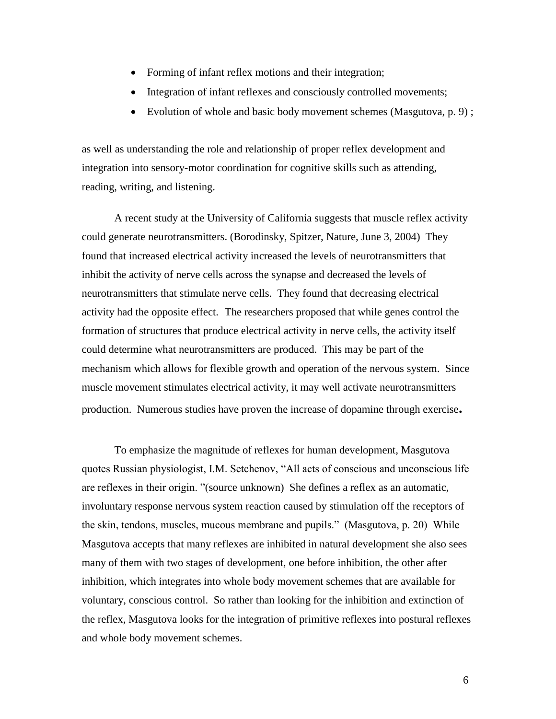- Forming of infant reflex motions and their integration;
- Integration of infant reflexes and consciously controlled movements;
- Evolution of whole and basic body movement schemes (Masgutova, p. 9);

as well as understanding the role and relationship of proper reflex development and integration into sensory-motor coordination for cognitive skills such as attending, reading, writing, and listening.

A recent study at the University of California suggests that muscle reflex activity could generate neurotransmitters. (Borodinsky, Spitzer, Nature, June 3, 2004) They found that increased electrical activity increased the levels of neurotransmitters that inhibit the activity of nerve cells across the synapse and decreased the levels of neurotransmitters that stimulate nerve cells. They found that decreasing electrical activity had the opposite effect. The researchers proposed that while genes control the formation of structures that produce electrical activity in nerve cells, the activity itself could determine what neurotransmitters are produced. This may be part of the mechanism which allows for flexible growth and operation of the nervous system. Since muscle movement stimulates electrical activity, it may well activate neurotransmitters production. Numerous studies have proven the increase of dopamine through exercise**.**

To emphasize the magnitude of reflexes for human development, Masgutova quotes Russian physiologist, I.M. Setchenov, "All acts of conscious and unconscious life are reflexes in their origin. "(source unknown) She defines a reflex as an automatic, involuntary response nervous system reaction caused by stimulation off the receptors of the skin, tendons, muscles, mucous membrane and pupils." (Masgutova, p. 20) While Masgutova accepts that many reflexes are inhibited in natural development she also sees many of them with two stages of development, one before inhibition, the other after inhibition, which integrates into whole body movement schemes that are available for voluntary, conscious control. So rather than looking for the inhibition and extinction of the reflex, Masgutova looks for the integration of primitive reflexes into postural reflexes and whole body movement schemes.

6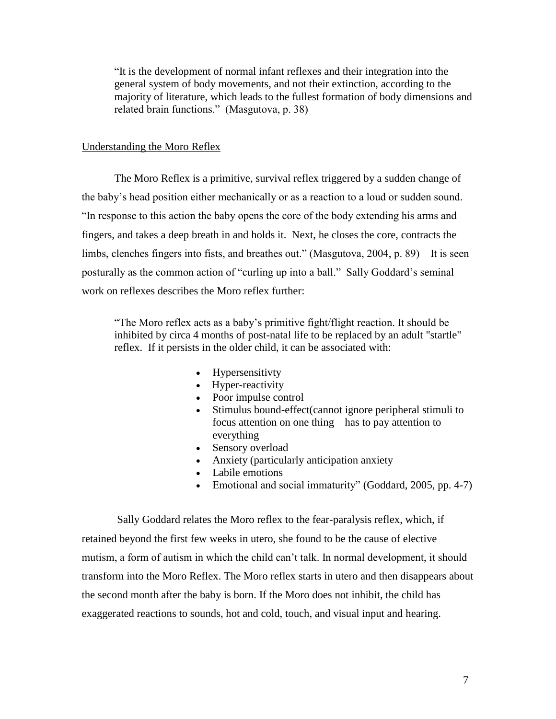"It is the development of normal infant reflexes and their integration into the general system of body movements, and not their extinction, according to the majority of literature, which leads to the fullest formation of body dimensions and related brain functions." (Masgutova, p. 38)

#### Understanding the Moro Reflex

The Moro Reflex is a primitive, survival reflex triggered by a sudden change of the baby's head position either mechanically or as a reaction to a loud or sudden sound. "In response to this action the baby opens the core of the body extending his arms and fingers, and takes a deep breath in and holds it. Next, he closes the core, contracts the limbs, clenches fingers into fists, and breathes out." (Masgutova, 2004, p. 89) It is seen posturally as the common action of "curling up into a ball." Sally Goddard's seminal work on reflexes describes the Moro reflex further:

"The Moro reflex acts as a baby's primitive fight/flight reaction. It should be inhibited by circa 4 months of post-natal life to be replaced by an adult "startle" reflex. If it persists in the older child, it can be associated with:

- Hypersensitivty
- Hyper-reactivity
- Poor impulse control
- Stimulus bound-effect(cannot ignore peripheral stimuli to focus attention on one thing – has to pay attention to everything
- Sensory overload
- Anxiety (particularly anticipation anxiety
- Labile emotions
- Emotional and social immaturity" (Goddard, 2005, pp. 4-7)

Sally Goddard relates the Moro reflex to the fear-paralysis reflex, which, if retained beyond the first few weeks in utero, she found to be the cause of elective mutism, a form of autism in which the child can't talk. In normal development, it should transform into the Moro Reflex. The Moro reflex starts in utero and then disappears about the second month after the baby is born. If the Moro does not inhibit, the child has exaggerated reactions to sounds, hot and cold, touch, and visual input and hearing.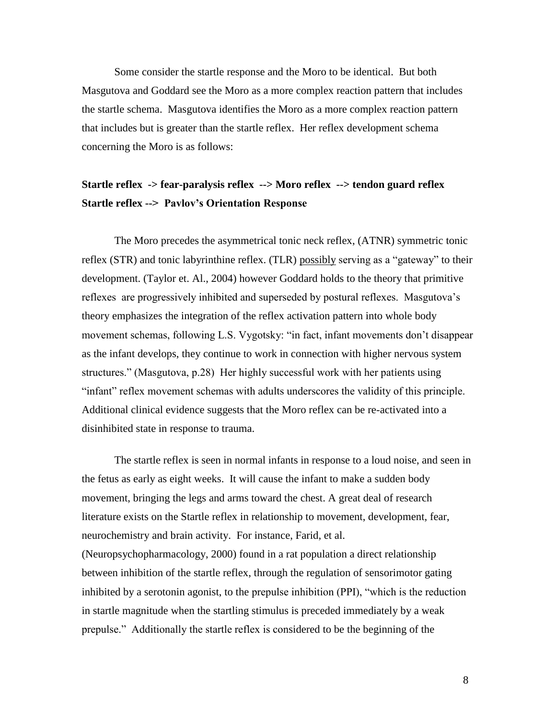Some consider the startle response and the Moro to be identical. But both Masgutova and Goddard see the Moro as a more complex reaction pattern that includes the startle schema. Masgutova identifies the Moro as a more complex reaction pattern that includes but is greater than the startle reflex. Her reflex development schema concerning the Moro is as follows:

## **Startle reflex -> fear-paralysis reflex --> Moro reflex --> tendon guard reflex Startle reflex --> Pavlov's Orientation Response**

The Moro precedes the asymmetrical tonic neck reflex, (ATNR) symmetric tonic reflex (STR) and tonic labyrinthine reflex. (TLR) possibly serving as a "gateway" to their development. (Taylor et. Al., 2004) however Goddard holds to the theory that primitive reflexes are progressively inhibited and superseded by postural reflexes. Masgutova's theory emphasizes the integration of the reflex activation pattern into whole body movement schemas, following L.S. Vygotsky: "in fact, infant movements don't disappear as the infant develops, they continue to work in connection with higher nervous system structures." (Masgutova, p.28) Her highly successful work with her patients using "infant" reflex movement schemas with adults underscores the validity of this principle. Additional clinical evidence suggests that the Moro reflex can be re-activated into a disinhibited state in response to trauma.

The startle reflex is seen in normal infants in response to a loud noise, and seen in the fetus as early as eight weeks. It will cause the infant to make a sudden body movement, bringing the legs and arms toward the chest. A great deal of research literature exists on the Startle reflex in relationship to movement, development, fear, neurochemistry and brain activity. For instance, Farid, et al. (Neuropsychopharmacology, 2000) found in a rat population a direct relationship between inhibition of the startle reflex, through the regulation of sensorimotor gating inhibited by a serotonin agonist, to the prepulse inhibition (PPI), "which is the reduction in startle magnitude when the startling stimulus is preceded immediately by a weak prepulse." Additionally the startle reflex is considered to be the beginning of the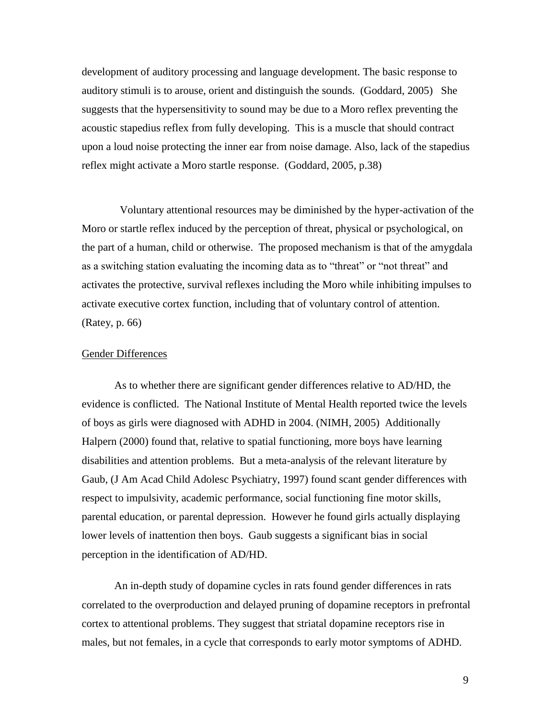development of auditory processing and language development. The basic response to auditory stimuli is to arouse, orient and distinguish the sounds. (Goddard, 2005) She suggests that the hypersensitivity to sound may be due to a Moro reflex preventing the acoustic stapedius reflex from fully developing. This is a muscle that should contract upon a loud noise protecting the inner ear from noise damage. Also, lack of the stapedius reflex might activate a Moro startle response. (Goddard, 2005, p.38)

 Voluntary attentional resources may be diminished by the hyper-activation of the Moro or startle reflex induced by the perception of threat, physical or psychological, on the part of a human, child or otherwise. The proposed mechanism is that of the amygdala as a switching station evaluating the incoming data as to "threat" or "not threat" and activates the protective, survival reflexes including the Moro while inhibiting impulses to activate executive cortex function, including that of voluntary control of attention. (Ratey, p. 66)

#### Gender Differences

As to whether there are significant gender differences relative to AD/HD, the evidence is conflicted. The National Institute of Mental Health reported twice the levels of boys as girls were diagnosed with ADHD in 2004. (NIMH, 2005) Additionally Halpern (2000) found that, relative to spatial functioning, more boys have learning disabilities and attention problems. But a meta-analysis of the relevant literature by Gaub, (J Am Acad Child Adolesc Psychiatry, 1997) found scant gender differences with respect to impulsivity, academic performance, social functioning fine motor skills, parental education, or parental depression. However he found girls actually displaying lower levels of inattention then boys. Gaub suggests a significant bias in social perception in the identification of AD/HD.

An in-depth study of dopamine cycles in rats found gender differences in rats correlated to the overproduction and delayed pruning of dopamine receptors in prefrontal cortex to attentional problems. They suggest that striatal dopamine receptors rise in males, but not females, in a cycle that corresponds to early motor symptoms of ADHD.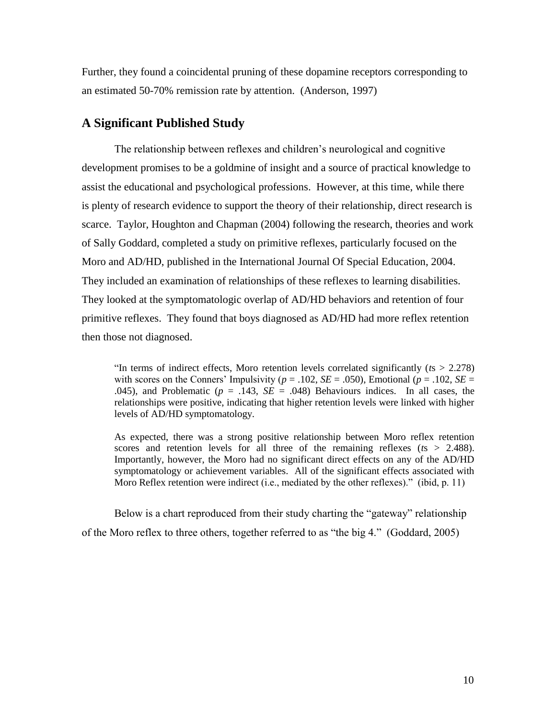Further, they found a coincidental pruning of these dopamine receptors corresponding to an estimated 50-70% remission rate by attention. (Anderson, 1997)

### **A Significant Published Study**

The relationship between reflexes and children's neurological and cognitive development promises to be a goldmine of insight and a source of practical knowledge to assist the educational and psychological professions. However, at this time, while there is plenty of research evidence to support the theory of their relationship, direct research is scarce. Taylor, Houghton and Chapman (2004) following the research, theories and work of Sally Goddard, completed a study on primitive reflexes, particularly focused on the Moro and AD/HD, published in the International Journal Of Special Education, 2004. They included an examination of relationships of these reflexes to learning disabilities. They looked at the symptomatologic overlap of AD/HD behaviors and retention of four primitive reflexes. They found that boys diagnosed as AD/HD had more reflex retention then those not diagnosed.

"In terms of indirect effects, Moro retention levels correlated significantly (*t*s > 2.278) with scores on the Conners' Impulsivity ( $p = .102$ ,  $SE = .050$ ), Emotional ( $p = .102$ ,  $SE =$ .045), and Problematic ( $p = .143$ ,  $SE = .048$ ) Behaviours indices. In all cases, the relationships were positive, indicating that higher retention levels were linked with higher levels of AD/HD symptomatology.

As expected, there was a strong positive relationship between Moro reflex retention scores and retention levels for all three of the remaining reflexes (*t*s > 2.488). Importantly, however, the Moro had no significant direct effects on any of the AD/HD symptomatology or achievement variables. All of the significant effects associated with Moro Reflex retention were indirect (i.e., mediated by the other reflexes)." (ibid, p. 11)

Below is a chart reproduced from their study charting the "gateway" relationship of the Moro reflex to three others, together referred to as "the big 4." (Goddard, 2005)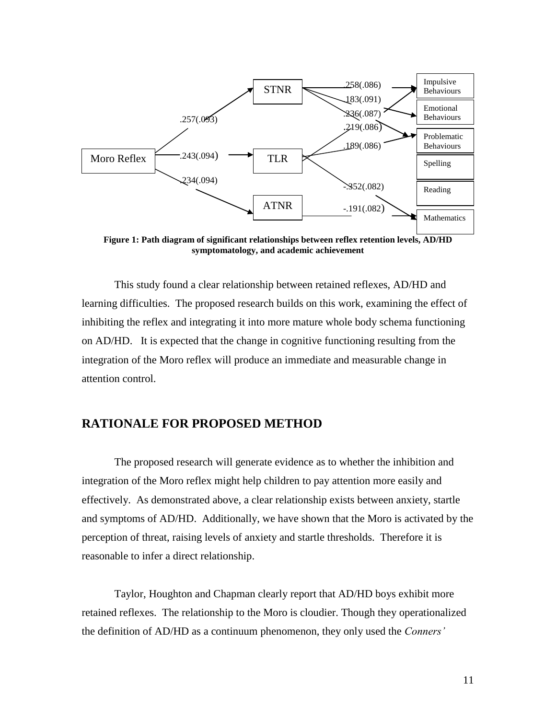

**Figure 1: Path diagram of significant relationships between reflex retention levels, AD/HD symptomatology, and academic achievement**

This study found a clear relationship between retained reflexes, AD/HD and learning difficulties. The proposed research builds on this work, examining the effect of inhibiting the reflex and integrating it into more mature whole body schema functioning on AD/HD. It is expected that the change in cognitive functioning resulting from the integration of the Moro reflex will produce an immediate and measurable change in attention control.

### **RATIONALE FOR PROPOSED METHOD**

The proposed research will generate evidence as to whether the inhibition and integration of the Moro reflex might help children to pay attention more easily and effectively. As demonstrated above, a clear relationship exists between anxiety, startle and symptoms of AD/HD. Additionally, we have shown that the Moro is activated by the perception of threat, raising levels of anxiety and startle thresholds. Therefore it is reasonable to infer a direct relationship.

Taylor, Houghton and Chapman clearly report that AD/HD boys exhibit more retained reflexes. The relationship to the Moro is cloudier. Though they operationalized the definition of AD/HD as a continuum phenomenon, they only used the *Conners'*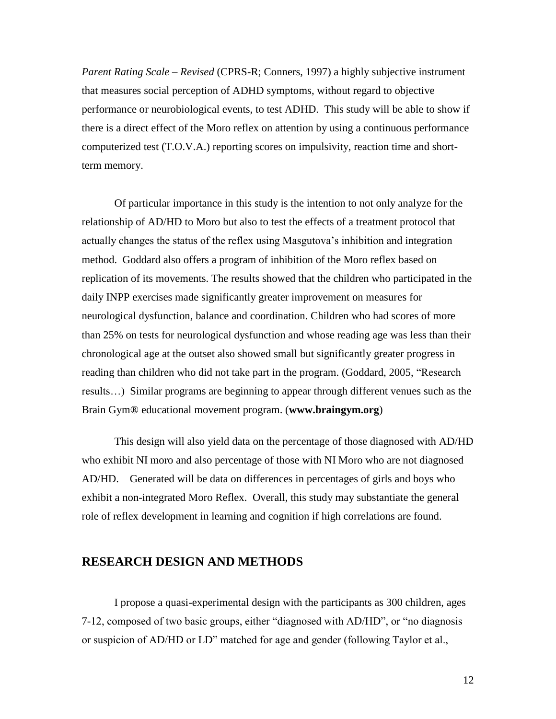*Parent Rating Scale – Revised* (CPRS-R; Conners, 1997) a highly subjective instrument that measures social perception of ADHD symptoms, without regard to objective performance or neurobiological events, to test ADHD. This study will be able to show if there is a direct effect of the Moro reflex on attention by using a continuous performance computerized test (T.O.V.A.) reporting scores on impulsivity, reaction time and shortterm memory.

Of particular importance in this study is the intention to not only analyze for the relationship of AD/HD to Moro but also to test the effects of a treatment protocol that actually changes the status of the reflex using Masgutova's inhibition and integration method. Goddard also offers a program of inhibition of the Moro reflex based on replication of its movements. The results showed that the children who participated in the daily INPP exercises made significantly greater improvement on measures for neurological dysfunction, balance and coordination. Children who had scores of more than 25% on tests for neurological dysfunction and whose reading age was less than their chronological age at the outset also showed small but significantly greater progress in reading than children who did not take part in the program. (Goddard, 2005, "Research results…) Similar programs are beginning to appear through different venues such as the Brain Gym® educational movement program. (**[www.braingym.org](http://www.braingym.org/)**)

This design will also yield data on the percentage of those diagnosed with AD/HD who exhibit NI moro and also percentage of those with NI Moro who are not diagnosed AD/HD. Generated will be data on differences in percentages of girls and boys who exhibit a non-integrated Moro Reflex. Overall, this study may substantiate the general role of reflex development in learning and cognition if high correlations are found.

### **RESEARCH DESIGN AND METHODS**

I propose a quasi-experimental design with the participants as 300 children, ages 7-12, composed of two basic groups, either "diagnosed with AD/HD", or "no diagnosis or suspicion of AD/HD or LD" matched for age and gender (following Taylor et al.,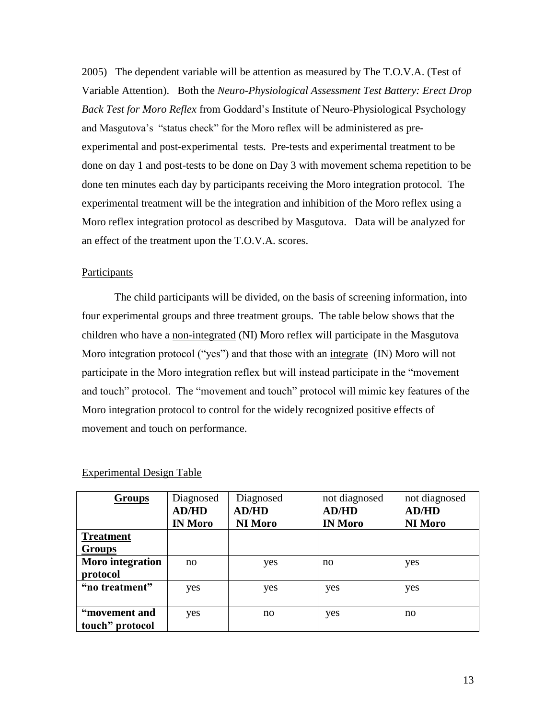2005) The dependent variable will be attention as measured by The T.O.V.A. (Test of Variable Attention). Both the *Neuro-Physiological Assessment Test Battery: Erect Drop Back Test for Moro Reflex* from Goddard's Institute of Neuro-Physiological Psychology and Masgutova's "status check" for the Moro reflex will be administered as preexperimental and post-experimental tests. Pre-tests and experimental treatment to be done on day 1 and post-tests to be done on Day 3 with movement schema repetition to be done ten minutes each day by participants receiving the Moro integration protocol. The experimental treatment will be the integration and inhibition of the Moro reflex using a Moro reflex integration protocol as described by Masgutova. Data will be analyzed for an effect of the treatment upon the T.O.V.A. scores.

#### **Participants**

The child participants will be divided, on the basis of screening information, into four experimental groups and three treatment groups. The table below shows that the children who have a non-integrated (NI) Moro reflex will participate in the Masgutova Moro integration protocol ("yes") and that those with an integrate (IN) Moro will not participate in the Moro integration reflex but will instead participate in the "movement and touch" protocol. The "movement and touch" protocol will mimic key features of the Moro integration protocol to control for the widely recognized positive effects of movement and touch on performance.

| <b>Groups</b>    | Diagnosed      | Diagnosed      | not diagnosed  | not diagnosed  |
|------------------|----------------|----------------|----------------|----------------|
|                  | <b>AD/HD</b>   | <b>AD/HD</b>   | <b>AD/HD</b>   | <b>AD/HD</b>   |
|                  | <b>IN Moro</b> | <b>NI Moro</b> | <b>IN Moro</b> | <b>NI Moro</b> |
| <b>Treatment</b> |                |                |                |                |
| <b>Groups</b>    |                |                |                |                |
| Moro integration | no             | yes            | no             | yes            |
| protocol         |                |                |                |                |
| "no treatment"   | yes            | yes            | yes            | yes            |
|                  |                |                |                |                |
| "movement and    | yes            | no             | yes            | no             |
| touch" protocol  |                |                |                |                |

#### Experimental Design Table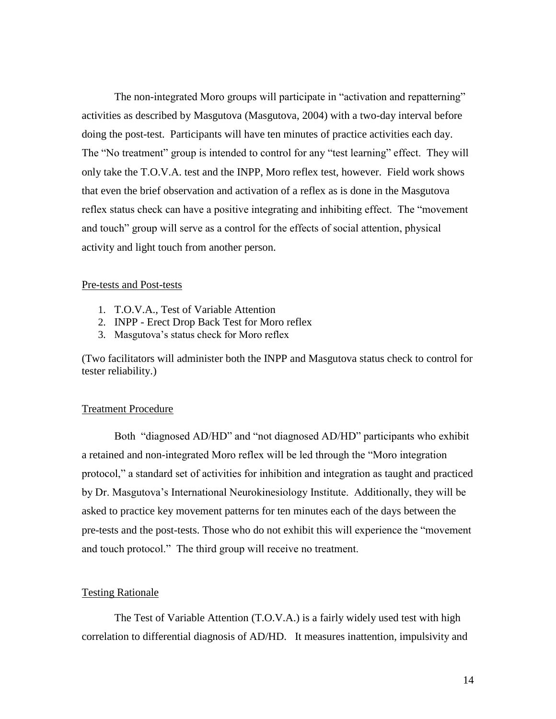The non-integrated Moro groups will participate in "activation and repatterning" activities as described by Masgutova (Masgutova, 2004) with a two-day interval before doing the post-test. Participants will have ten minutes of practice activities each day. The "No treatment" group is intended to control for any "test learning" effect. They will only take the T.O.V.A. test and the INPP, Moro reflex test, however. Field work shows that even the brief observation and activation of a reflex as is done in the Masgutova reflex status check can have a positive integrating and inhibiting effect. The "movement and touch" group will serve as a control for the effects of social attention, physical activity and light touch from another person.

#### Pre-tests and Post-tests

- 1. T.O.V.A., Test of Variable Attention
- 2. INPP Erect Drop Back Test for Moro reflex
- 3. Masgutova's status check for Moro reflex

(Two facilitators will administer both the INPP and Masgutova status check to control for tester reliability.)

#### Treatment Procedure

Both "diagnosed AD/HD" and "not diagnosed AD/HD" participants who exhibit a retained and non-integrated Moro reflex will be led through the "Moro integration protocol," a standard set of activities for inhibition and integration as taught and practiced by Dr. Masgutova's International Neurokinesiology Institute. Additionally, they will be asked to practice key movement patterns for ten minutes each of the days between the pre-tests and the post-tests. Those who do not exhibit this will experience the "movement and touch protocol." The third group will receive no treatment.

#### Testing Rationale

The Test of Variable Attention (T.O.V.A.) is a fairly widely used test with high correlation to differential diagnosis of AD/HD. It measures inattention, impulsivity and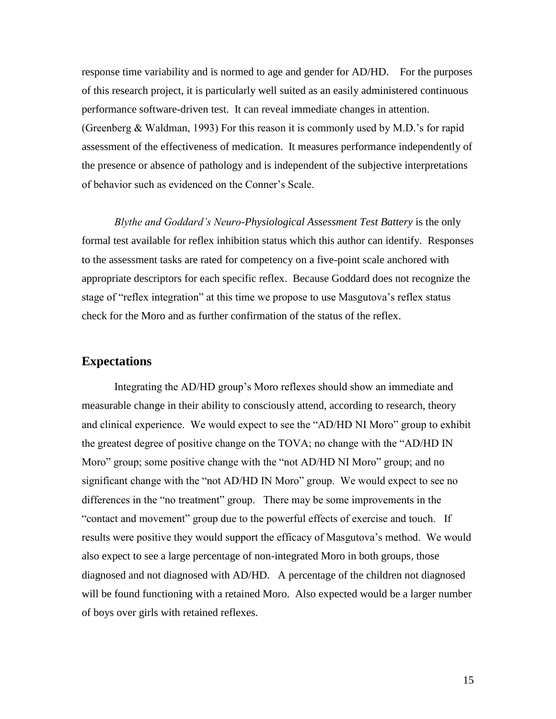response time variability and is normed to age and gender for AD/HD. For the purposes of this research project, it is particularly well suited as an easily administered continuous performance software-driven test. It can reveal immediate changes in attention. (Greenberg & Waldman, 1993) For this reason it is commonly used by M.D.'s for rapid assessment of the effectiveness of medication. It measures performance independently of the presence or absence of pathology and is independent of the subjective interpretations of behavior such as evidenced on the Conner's Scale.

*Blythe and Goddard's Neuro-Physiological Assessment Test Battery* is the only formal test available for reflex inhibition status which this author can identify. Responses to the assessment tasks are rated for competency on a five-point scale anchored with appropriate descriptors for each specific reflex. Because Goddard does not recognize the stage of "reflex integration" at this time we propose to use Masgutova's reflex status check for the Moro and as further confirmation of the status of the reflex.

### **Expectations**

Integrating the AD/HD group's Moro reflexes should show an immediate and measurable change in their ability to consciously attend, according to research, theory and clinical experience. We would expect to see the "AD/HD NI Moro" group to exhibit the greatest degree of positive change on the TOVA; no change with the "AD/HD IN Moro" group; some positive change with the "not AD/HD NI Moro" group; and no significant change with the "not AD/HD IN Moro" group. We would expect to see no differences in the "no treatment" group. There may be some improvements in the "contact and movement" group due to the powerful effects of exercise and touch. If results were positive they would support the efficacy of Masgutova's method. We would also expect to see a large percentage of non-integrated Moro in both groups, those diagnosed and not diagnosed with AD/HD. A percentage of the children not diagnosed will be found functioning with a retained Moro. Also expected would be a larger number of boys over girls with retained reflexes.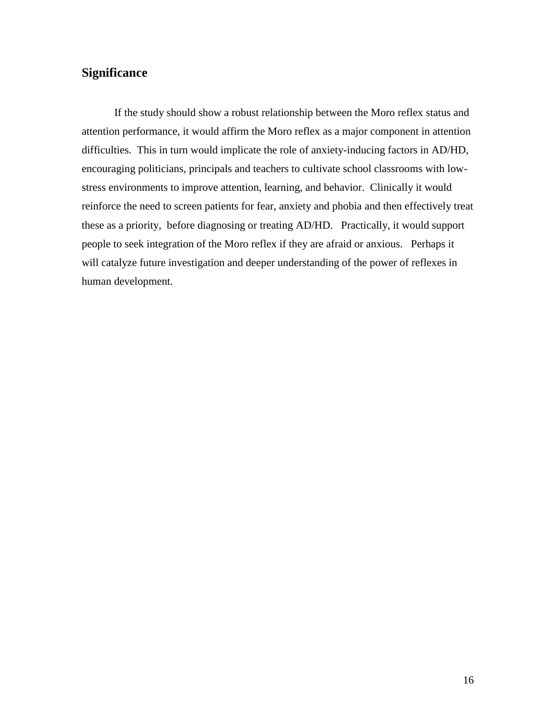### **Significance**

If the study should show a robust relationship between the Moro reflex status and attention performance, it would affirm the Moro reflex as a major component in attention difficulties. This in turn would implicate the role of anxiety-inducing factors in AD/HD, encouraging politicians, principals and teachers to cultivate school classrooms with lowstress environments to improve attention, learning, and behavior. Clinically it would reinforce the need to screen patients for fear, anxiety and phobia and then effectively treat these as a priority, before diagnosing or treating AD/HD. Practically, it would support people to seek integration of the Moro reflex if they are afraid or anxious. Perhaps it will catalyze future investigation and deeper understanding of the power of reflexes in human development.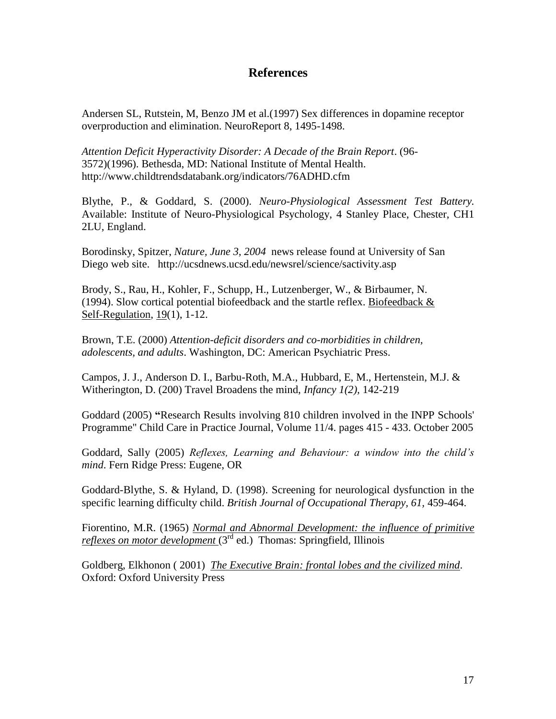### **References**

Andersen SL, Rutstein, M, Benzo JM et al.(1997) Sex differences in dopamine receptor overproduction and elimination. NeuroReport 8, 1495-1498.

*Attention Deficit Hyperactivity Disorder: A Decade of the Brain Report*. (96- 3572)(1996). Bethesda, MD: National Institute of Mental Health. http://www.childtrendsdatabank.org/indicators/76ADHD.cfm

Blythe, P., & Goddard, S. (2000). *Neuro-Physiological Assessment Test Battery.* Available: Institute of Neuro-Physiological Psychology, 4 Stanley Place, Chester, CH1 2LU, England.

Borodinsky, Spitzer, *Nature, June 3, 2004* news release found at University of San Diego web site.http://ucsdnews.ucsd.edu/newsrel/science/sactivity.asp

Brody, S., Rau, H., Kohler, F., Schupp, H., Lutzenberger, W., & Birbaumer, N. (1994). Slow cortical potential biofeedback and the startle reflex. Biofeedback  $\&$ Self-Regulation, 19(1), 1-12.

Brown, T.E. (2000) *Attention-deficit disorders and co-morbidities in children, adolescents, and adults*. Washington, DC: American Psychiatric Press.

Campos, J. J., Anderson D. I., Barbu-Roth, M.A., Hubbard, E, M., Hertenstein, M.J. & Witherington, D. (200) Travel Broadens the mind, *Infancy 1(2),* 142-219

Goddard (2005) **"**Research Results involving 810 children involved in the INPP Schools' Programme" Child Care in Practice Journal, Volume 11/4. pages 415 - 433. October 2005

Goddard, Sally (2005) *Reflexes, Learning and Behaviour: a window into the child's mind*. Fern Ridge Press: Eugene, OR

Goddard-Blythe, S. & Hyland, D. (1998). Screening for neurological dysfunction in the specific learning difficulty child. *British Journal of Occupational Therapy, 61,* 459-464.

Fiorentino, M.R. (1965) *Normal and Abnormal Development: the influence of primitive reflexes on motor development* (3<sup>rd</sup> ed.) Thomas: Springfield, Illinois

Goldberg, Elkhonon ( 2001) *The Executive Brain: frontal lobes and the civilized mind*. Oxford: Oxford University Press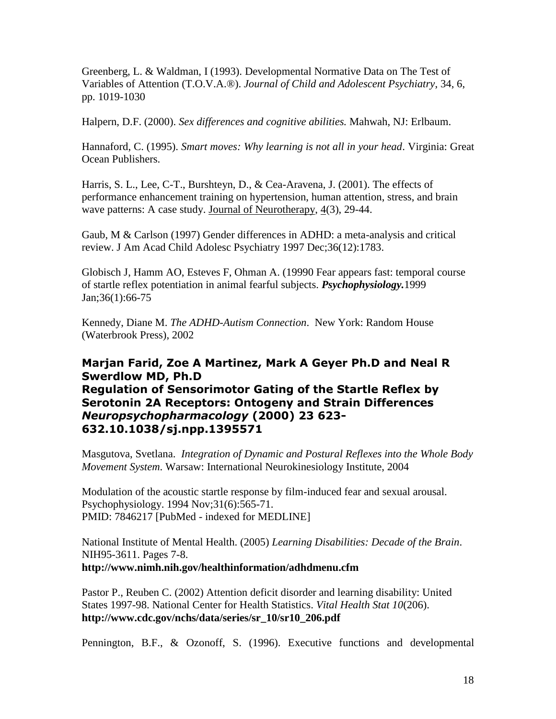Greenberg, L. & Waldman, I (1993). Developmental Normative Data on The Test of Variables of Attention (T.O.V.A.®). *Journal of Child and Adolescent Psychiatry*, 34, 6, pp. 1019-1030

Halpern, D.F. (2000). *Sex differences and cognitive abilities.* Mahwah, NJ: Erlbaum.

Hannaford, C. (1995). *Smart moves: Why learning is not all in your head*. Virginia: Great Ocean Publishers.

Harris, S. L., Lee, C-T., Burshteyn, D., & Cea-Aravena, J. (2001). The effects of performance enhancement training on hypertension, human attention, stress, and brain wave patterns: A case study. Journal of Neurotherapy, 4(3), 29-44.

Gaub, M & Carlson (1997) Gender differences in ADHD: a meta-analysis and critical review. J Am Acad Child Adolesc Psychiatry 1997 Dec;36(12):1783.

[Globisch J,](http://www.ncbi.nlm.nih.gov/entrez/query.fcgi?db=PubMed&cmd=Search&itool=PubMed_Citation&term=%22Globisch+J%22%5BAuthor%5D) [Hamm AO,](http://www.ncbi.nlm.nih.gov/entrez/query.fcgi?db=PubMed&cmd=Search&itool=PubMed_Citation&term=%22Hamm+AO%22%5BAuthor%5D) [Esteves F,](http://www.ncbi.nlm.nih.gov/entrez/query.fcgi?db=PubMed&cmd=Search&itool=PubMed_Citation&term=%22Esteves+F%22%5BAuthor%5D) [Ohman A.](http://www.ncbi.nlm.nih.gov/entrez/query.fcgi?db=PubMed&cmd=Search&itool=PubMed_Citation&term=%22Ohman+A%22%5BAuthor%5D) (19990 Fear appears fast: temporal course of startle reflex potentiation in animal fearful subjects. *Psychophysiology.*1999 Jan;36(1):66-75

Kennedy, Diane M. *The ADHD-Autism Connection*. New York: Random House (Waterbrook Press), 2002

### **Marjan Farid, Zoe A Martinez, Mark A Geyer Ph.D and Neal R Swerdlow MD, Ph.D Regulation of Sensorimotor Gating of the Startle Reflex by Serotonin 2A Receptors: Ontogeny and Strain Differences** *Neuropsychopharmacology* **(2000) 23 623- 632.10.1038/sj.npp.1395571**

Masgutova, Svetlana. *Integration of Dynamic and Postural Reflexes into the Whole Body Movement System*. Warsaw: International Neurokinesiology Institute, 2004

Modulation of the acoustic startle response by film-induced fear and sexual arousal. Psychophysiology. 1994 Nov;31(6):565-71. PMID: 7846217 [PubMed - indexed for MEDLINE]

National Institute of Mental Health. (2005) *Learning Disabilities: Decade of the Brain*. NIH95-3611. Pages 7-8. **<http://www.nimh.nih.gov/healthinformation/adhdmenu.cfm>**

Pastor P., Reuben C. (2002) Attention deficit disorder and learning disability: United States 1997-98. National Center for Health Statistics. *Vital Health Stat 10*(206). **[http://www.cdc.gov/nchs/data/series/sr\\_10/sr10\\_206.pdf](http://www.cdc.gov/nchs/data/series/sr_10/sr10_206.pdf%20)**

Pennington, B.F., & Ozonoff, S. (1996). Executive functions and developmental